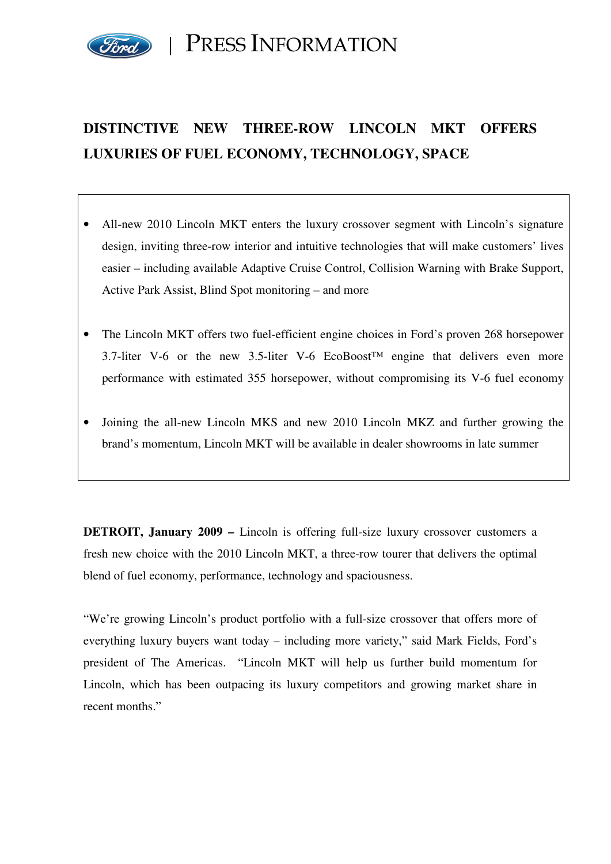

PRESS INFORMATION

# **DISTINCTIVE NEW THREE-ROW LINCOLN MKT OFFERS LUXURIES OF FUEL ECONOMY, TECHNOLOGY, SPACE**

- All-new 2010 Lincoln MKT enters the luxury crossover segment with Lincoln's signature design, inviting three-row interior and intuitive technologies that will make customers' lives easier – including available Adaptive Cruise Control, Collision Warning with Brake Support, Active Park Assist, Blind Spot monitoring – and more
- The Lincoln MKT offers two fuel-efficient engine choices in Ford's proven 268 horsepower 3.7-liter V-6 or the new 3.5-liter V-6 EcoBoost<sup>TM</sup> engine that delivers even more performance with estimated 355 horsepower, without compromising its V-6 fuel economy
- Joining the all-new Lincoln MKS and new 2010 Lincoln MKZ and further growing the brand's momentum, Lincoln MKT will be available in dealer showrooms in late summer

**DETROIT, January 2009 –** Lincoln is offering full-size luxury crossover customers a fresh new choice with the 2010 Lincoln MKT, a three-row tourer that delivers the optimal blend of fuel economy, performance, technology and spaciousness.

"We're growing Lincoln's product portfolio with a full-size crossover that offers more of everything luxury buyers want today – including more variety," said Mark Fields, Ford's president of The Americas. "Lincoln MKT will help us further build momentum for Lincoln, which has been outpacing its luxury competitors and growing market share in recent months."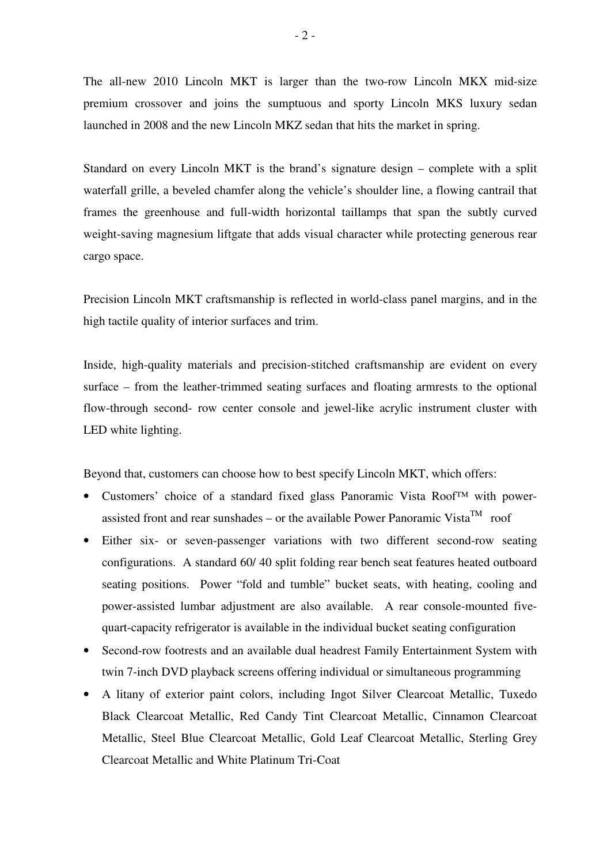The all-new 2010 Lincoln MKT is larger than the two-row Lincoln MKX mid-size premium crossover and joins the sumptuous and sporty Lincoln MKS luxury sedan launched in 2008 and the new Lincoln MKZ sedan that hits the market in spring.

Standard on every Lincoln MKT is the brand's signature design – complete with a split waterfall grille, a beveled chamfer along the vehicle's shoulder line, a flowing cantrail that frames the greenhouse and full-width horizontal taillamps that span the subtly curved weight-saving magnesium liftgate that adds visual character while protecting generous rear cargo space.

Precision Lincoln MKT craftsmanship is reflected in world-class panel margins, and in the high tactile quality of interior surfaces and trim.

Inside, high-quality materials and precision-stitched craftsmanship are evident on every surface – from the leather-trimmed seating surfaces and floating armrests to the optional flow-through second- row center console and jewel-like acrylic instrument cluster with LED white lighting.

Beyond that, customers can choose how to best specify Lincoln MKT, which offers:

- Customers' choice of a standard fixed glass Panoramic Vista Roof™ with powerassisted front and rear sunshades – or the available Power Panoramic Vista<sup>TM</sup> roof
- Either six- or seven-passenger variations with two different second-row seating configurations. A standard 60/ 40 split folding rear bench seat features heated outboard seating positions. Power "fold and tumble" bucket seats, with heating, cooling and power-assisted lumbar adjustment are also available. A rear console-mounted fivequart-capacity refrigerator is available in the individual bucket seating configuration
- Second-row footrests and an available dual headrest Family Entertainment System with twin 7-inch DVD playback screens offering individual or simultaneous programming
- A litany of exterior paint colors, including Ingot Silver Clearcoat Metallic, Tuxedo Black Clearcoat Metallic, Red Candy Tint Clearcoat Metallic, Cinnamon Clearcoat Metallic, Steel Blue Clearcoat Metallic, Gold Leaf Clearcoat Metallic, Sterling Grey Clearcoat Metallic and White Platinum Tri-Coat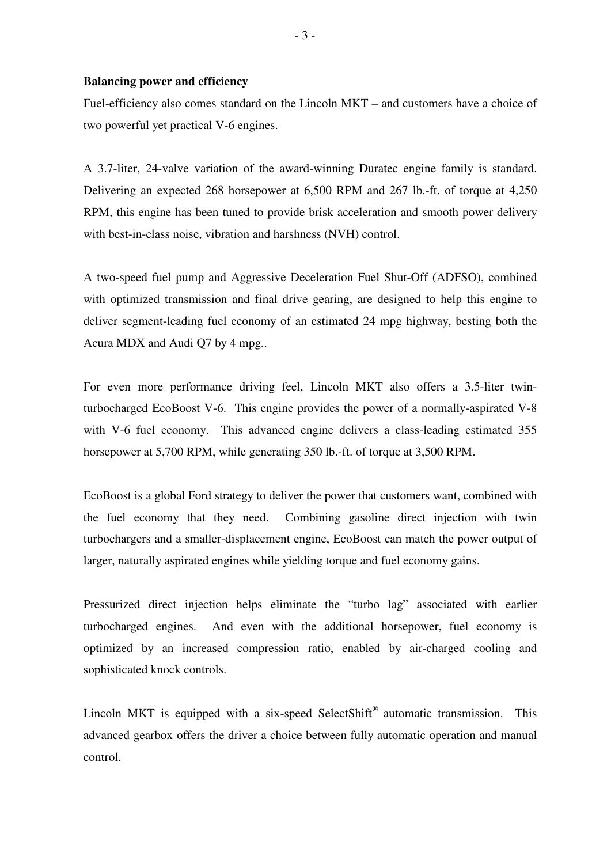#### **Balancing power and efficiency**

Fuel-efficiency also comes standard on the Lincoln MKT – and customers have a choice of two powerful yet practical V-6 engines.

A 3.7-liter, 24-valve variation of the award-winning Duratec engine family is standard. Delivering an expected 268 horsepower at 6,500 RPM and 267 lb.-ft. of torque at 4,250 RPM, this engine has been tuned to provide brisk acceleration and smooth power delivery with best-in-class noise, vibration and harshness (NVH) control.

A two-speed fuel pump and Aggressive Deceleration Fuel Shut-Off (ADFSO), combined with optimized transmission and final drive gearing, are designed to help this engine to deliver segment-leading fuel economy of an estimated 24 mpg highway, besting both the Acura MDX and Audi Q7 by 4 mpg..

For even more performance driving feel, Lincoln MKT also offers a 3.5-liter twinturbocharged EcoBoost V-6. This engine provides the power of a normally-aspirated V-8 with V-6 fuel economy. This advanced engine delivers a class-leading estimated 355 horsepower at 5,700 RPM, while generating 350 lb.-ft. of torque at 3,500 RPM.

EcoBoost is a global Ford strategy to deliver the power that customers want, combined with the fuel economy that they need. Combining gasoline direct injection with twin turbochargers and a smaller-displacement engine, EcoBoost can match the power output of larger, naturally aspirated engines while yielding torque and fuel economy gains.

Pressurized direct injection helps eliminate the "turbo lag" associated with earlier turbocharged engines. And even with the additional horsepower, fuel economy is optimized by an increased compression ratio, enabled by air-charged cooling and sophisticated knock controls.

Lincoln MKT is equipped with a six-speed SelectShift<sup>®</sup> automatic transmission. This advanced gearbox offers the driver a choice between fully automatic operation and manual control.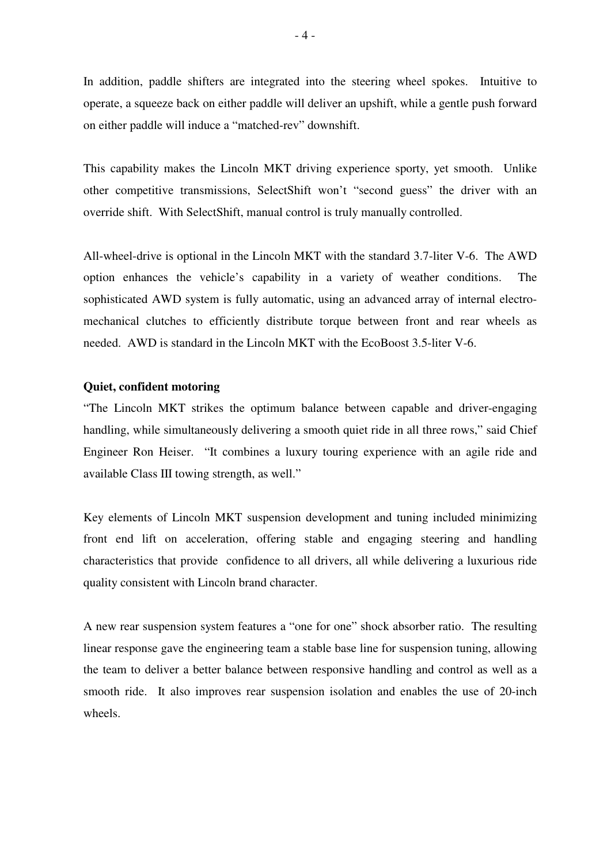In addition, paddle shifters are integrated into the steering wheel spokes. Intuitive to operate, a squeeze back on either paddle will deliver an upshift, while a gentle push forward on either paddle will induce a "matched-rev" downshift.

This capability makes the Lincoln MKT driving experience sporty, yet smooth. Unlike other competitive transmissions, SelectShift won't "second guess" the driver with an override shift. With SelectShift, manual control is truly manually controlled.

All-wheel-drive is optional in the Lincoln MKT with the standard 3.7-liter V-6. The AWD option enhances the vehicle's capability in a variety of weather conditions. The sophisticated AWD system is fully automatic, using an advanced array of internal electromechanical clutches to efficiently distribute torque between front and rear wheels as needed. AWD is standard in the Lincoln MKT with the EcoBoost 3.5-liter V-6.

## **Quiet, confident motoring**

"The Lincoln MKT strikes the optimum balance between capable and driver-engaging handling, while simultaneously delivering a smooth quiet ride in all three rows," said Chief Engineer Ron Heiser. "It combines a luxury touring experience with an agile ride and available Class III towing strength, as well."

Key elements of Lincoln MKT suspension development and tuning included minimizing front end lift on acceleration, offering stable and engaging steering and handling characteristics that provide confidence to all drivers, all while delivering a luxurious ride quality consistent with Lincoln brand character.

A new rear suspension system features a "one for one" shock absorber ratio. The resulting linear response gave the engineering team a stable base line for suspension tuning, allowing the team to deliver a better balance between responsive handling and control as well as a smooth ride. It also improves rear suspension isolation and enables the use of 20-inch wheels.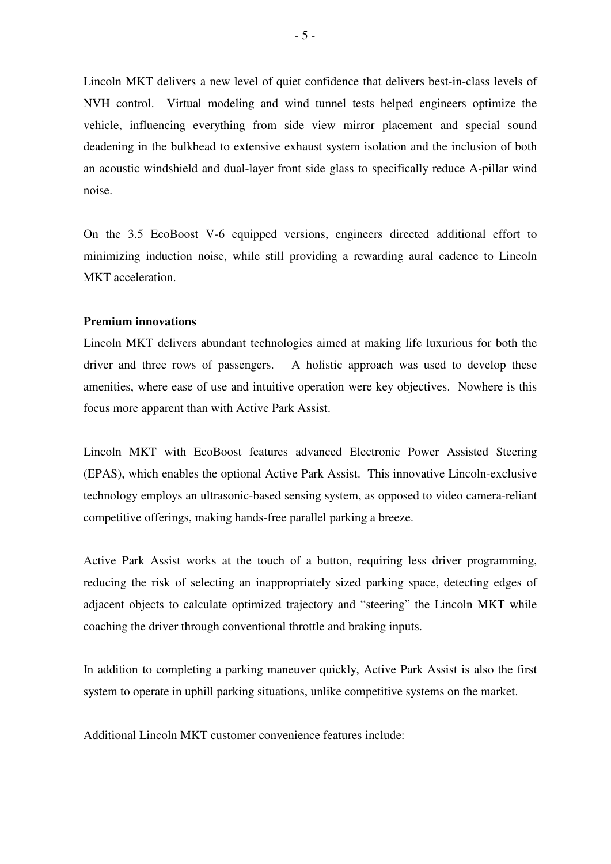Lincoln MKT delivers a new level of quiet confidence that delivers best-in-class levels of NVH control. Virtual modeling and wind tunnel tests helped engineers optimize the vehicle, influencing everything from side view mirror placement and special sound deadening in the bulkhead to extensive exhaust system isolation and the inclusion of both an acoustic windshield and dual-layer front side glass to specifically reduce A-pillar wind noise.

On the 3.5 EcoBoost V-6 equipped versions, engineers directed additional effort to minimizing induction noise, while still providing a rewarding aural cadence to Lincoln MKT acceleration.

### **Premium innovations**

Lincoln MKT delivers abundant technologies aimed at making life luxurious for both the driver and three rows of passengers. A holistic approach was used to develop these amenities, where ease of use and intuitive operation were key objectives. Nowhere is this focus more apparent than with Active Park Assist.

Lincoln MKT with EcoBoost features advanced Electronic Power Assisted Steering (EPAS), which enables the optional Active Park Assist. This innovative Lincoln-exclusive technology employs an ultrasonic-based sensing system, as opposed to video camera-reliant competitive offerings, making hands-free parallel parking a breeze.

Active Park Assist works at the touch of a button, requiring less driver programming, reducing the risk of selecting an inappropriately sized parking space, detecting edges of adjacent objects to calculate optimized trajectory and "steering" the Lincoln MKT while coaching the driver through conventional throttle and braking inputs.

In addition to completing a parking maneuver quickly, Active Park Assist is also the first system to operate in uphill parking situations, unlike competitive systems on the market.

Additional Lincoln MKT customer convenience features include: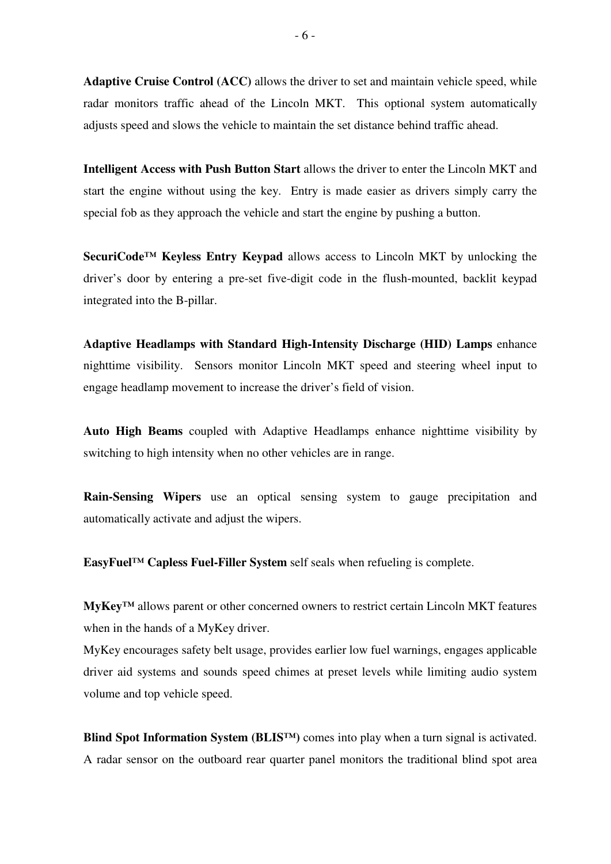**Adaptive Cruise Control (ACC)** allows the driver to set and maintain vehicle speed, while radar monitors traffic ahead of the Lincoln MKT. This optional system automatically adjusts speed and slows the vehicle to maintain the set distance behind traffic ahead.

**Intelligent Access with Push Button Start** allows the driver to enter the Lincoln MKT and start the engine without using the key. Entry is made easier as drivers simply carry the special fob as they approach the vehicle and start the engine by pushing a button.

**SecuriCode™ Keyless Entry Keypad** allows access to Lincoln MKT by unlocking the driver's door by entering a pre-set five-digit code in the flush-mounted, backlit keypad integrated into the B-pillar.

**Adaptive Headlamps with Standard High-Intensity Discharge (HID) Lamps** enhance nighttime visibility. Sensors monitor Lincoln MKT speed and steering wheel input to engage headlamp movement to increase the driver's field of vision.

**Auto High Beams** coupled with Adaptive Headlamps enhance nighttime visibility by switching to high intensity when no other vehicles are in range.

**Rain-Sensing Wipers** use an optical sensing system to gauge precipitation and automatically activate and adjust the wipers.

**EasyFuel™ Capless Fuel-Filler System** self seals when refueling is complete.

**MyKey™** allows parent or other concerned owners to restrict certain Lincoln MKT features when in the hands of a MyKey driver.

MyKey encourages safety belt usage, provides earlier low fuel warnings, engages applicable driver aid systems and sounds speed chimes at preset levels while limiting audio system volume and top vehicle speed.

**Blind Spot Information System (BLIS<sup>TM</sup>)** comes into play when a turn signal is activated. A radar sensor on the outboard rear quarter panel monitors the traditional blind spot area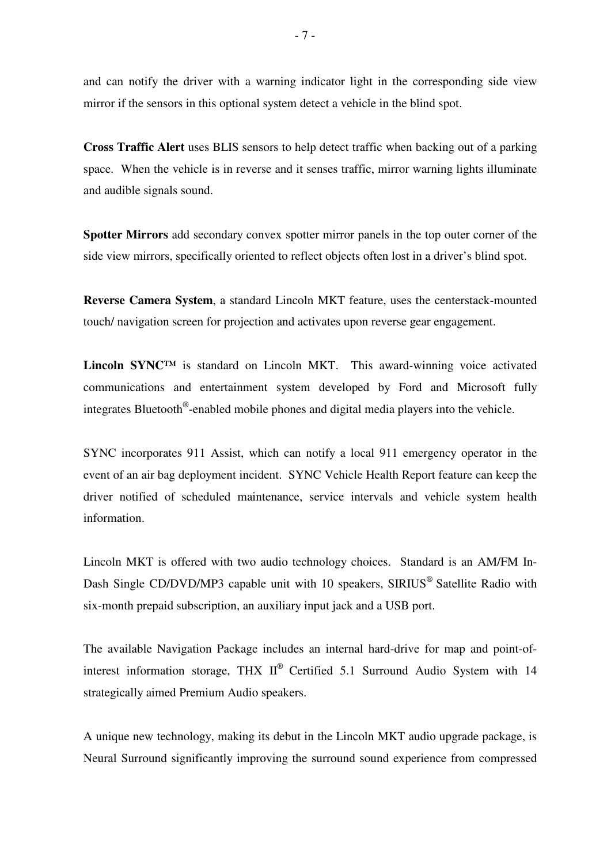and can notify the driver with a warning indicator light in the corresponding side view mirror if the sensors in this optional system detect a vehicle in the blind spot.

**Cross Traffic Alert** uses BLIS sensors to help detect traffic when backing out of a parking space. When the vehicle is in reverse and it senses traffic, mirror warning lights illuminate and audible signals sound.

**Spotter Mirrors** add secondary convex spotter mirror panels in the top outer corner of the side view mirrors, specifically oriented to reflect objects often lost in a driver's blind spot.

**Reverse Camera System**, a standard Lincoln MKT feature, uses the centerstack-mounted touch/ navigation screen for projection and activates upon reverse gear engagement.

**Lincoln SYNC™** is standard on Lincoln MKT. This award-winning voice activated communications and entertainment system developed by Ford and Microsoft fully integrates Bluetooth® -enabled mobile phones and digital media players into the vehicle.

SYNC incorporates 911 Assist, which can notify a local 911 emergency operator in the event of an air bag deployment incident. SYNC Vehicle Health Report feature can keep the driver notified of scheduled maintenance, service intervals and vehicle system health information.

Lincoln MKT is offered with two audio technology choices. Standard is an AM/FM In-Dash Single CD/DVD/MP3 capable unit with 10 speakers, SIRIUS<sup>®</sup> Satellite Radio with six-month prepaid subscription, an auxiliary input jack and a USB port.

The available Navigation Package includes an internal hard-drive for map and point-ofinterest information storage, THX  $II^{\circledR}$  Certified 5.1 Surround Audio System with 14 strategically aimed Premium Audio speakers.

A unique new technology, making its debut in the Lincoln MKT audio upgrade package, is Neural Surround significantly improving the surround sound experience from compressed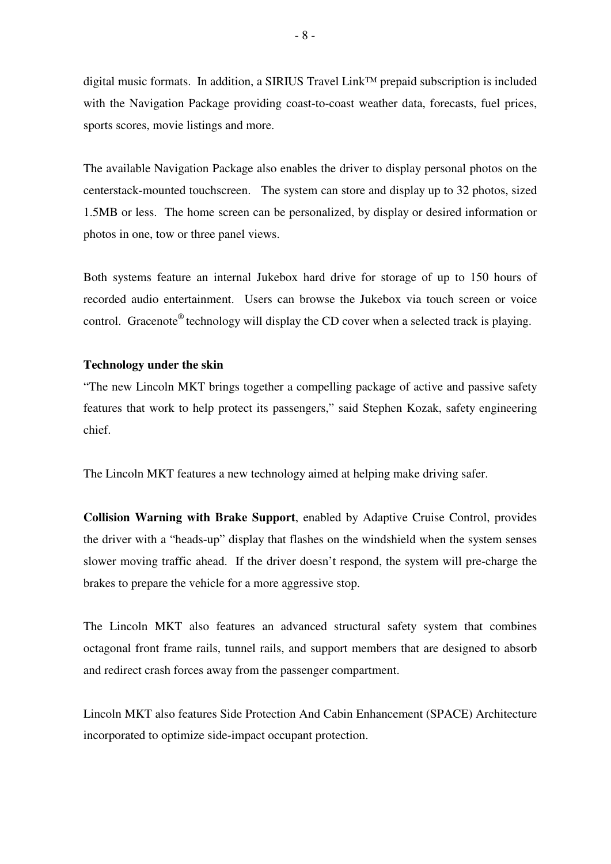digital music formats. In addition, a SIRIUS Travel Link™ prepaid subscription is included with the Navigation Package providing coast-to-coast weather data, forecasts, fuel prices, sports scores, movie listings and more.

The available Navigation Package also enables the driver to display personal photos on the centerstack-mounted touchscreen. The system can store and display up to 32 photos, sized 1.5MB or less. The home screen can be personalized, by display or desired information or photos in one, tow or three panel views.

Both systems feature an internal Jukebox hard drive for storage of up to 150 hours of recorded audio entertainment. Users can browse the Jukebox via touch screen or voice control. Gracenote<sup>®</sup> technology will display the CD cover when a selected track is playing.

#### **Technology under the skin**

"The new Lincoln MKT brings together a compelling package of active and passive safety features that work to help protect its passengers," said Stephen Kozak, safety engineering chief.

The Lincoln MKT features a new technology aimed at helping make driving safer.

**Collision Warning with Brake Support**, enabled by Adaptive Cruise Control, provides the driver with a "heads-up" display that flashes on the windshield when the system senses slower moving traffic ahead. If the driver doesn't respond, the system will pre-charge the brakes to prepare the vehicle for a more aggressive stop.

The Lincoln MKT also features an advanced structural safety system that combines octagonal front frame rails, tunnel rails, and support members that are designed to absorb and redirect crash forces away from the passenger compartment.

Lincoln MKT also features Side Protection And Cabin Enhancement (SPACE) Architecture incorporated to optimize side-impact occupant protection.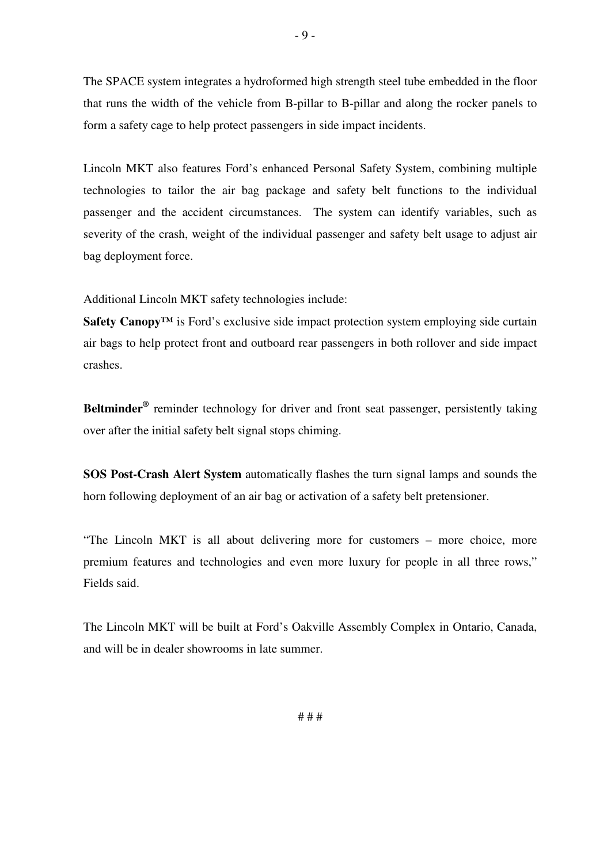The SPACE system integrates a hydroformed high strength steel tube embedded in the floor that runs the width of the vehicle from B-pillar to B-pillar and along the rocker panels to form a safety cage to help protect passengers in side impact incidents.

- 9 -

Lincoln MKT also features Ford's enhanced Personal Safety System, combining multiple technologies to tailor the air bag package and safety belt functions to the individual passenger and the accident circumstances. The system can identify variables, such as severity of the crash, weight of the individual passenger and safety belt usage to adjust air bag deployment force.

Additional Lincoln MKT safety technologies include:

**Safety Canopy™** is Ford's exclusive side impact protection system employing side curtain air bags to help protect front and outboard rear passengers in both rollover and side impact crashes.

Beltminder<sup>®</sup> reminder technology for driver and front seat passenger, persistently taking over after the initial safety belt signal stops chiming.

**SOS Post-Crash Alert System** automatically flashes the turn signal lamps and sounds the horn following deployment of an air bag or activation of a safety belt pretensioner.

"The Lincoln MKT is all about delivering more for customers – more choice, more premium features and technologies and even more luxury for people in all three rows," Fields said.

The Lincoln MKT will be built at Ford's Oakville Assembly Complex in Ontario, Canada, and will be in dealer showrooms in late summer.